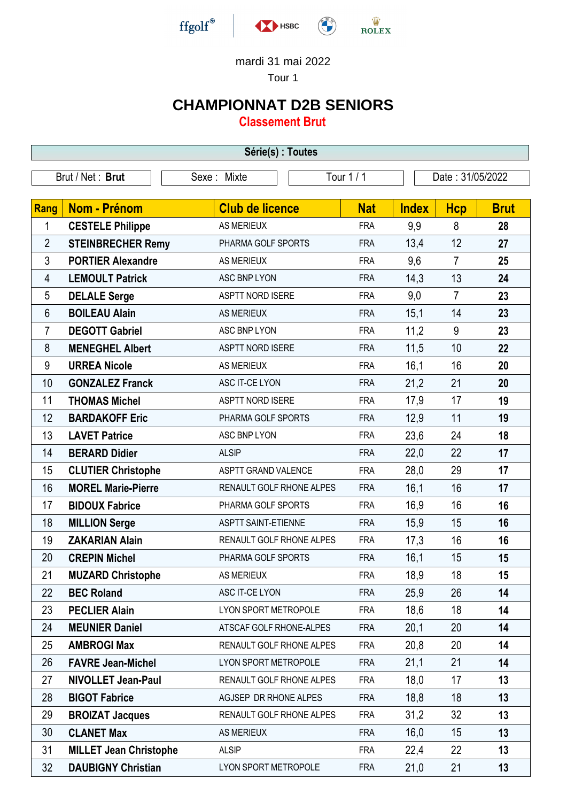

## mardi 31 mai 2022

Tour 1

## **CHAMPIONNAT D2B SENIORS**

**Classement Brut**

| Série(s) : Toutes |                                                                   |                            |            |              |                |             |
|-------------------|-------------------------------------------------------------------|----------------------------|------------|--------------|----------------|-------------|
|                   | Tour 1 / 1<br>Date: 31/05/2022<br>Brut / Net: Brut<br>Sexe: Mixte |                            |            |              |                |             |
|                   |                                                                   |                            |            |              |                |             |
| <b>Rang</b>       | <b>Nom - Prénom</b>                                               | <b>Club de licence</b>     | <b>Nat</b> | <b>Index</b> | <b>Hcp</b>     | <b>Brut</b> |
| 1                 | <b>CESTELE Philippe</b>                                           | <b>AS MERIEUX</b>          | <b>FRA</b> | 9,9          | 8              | 28          |
| $\overline{2}$    | <b>STEINBRECHER Remy</b>                                          | PHARMA GOLF SPORTS         | <b>FRA</b> | 13,4         | 12             | 27          |
| $\mathfrak{Z}$    | <b>PORTIER Alexandre</b>                                          | <b>AS MERIEUX</b>          | <b>FRA</b> | 9,6          | $\overline{7}$ | 25          |
| 4                 | <b>LEMOULT Patrick</b>                                            | ASC BNP LYON               | <b>FRA</b> | 14,3         | 13             | 24          |
| 5                 | <b>DELALE Serge</b>                                               | <b>ASPTT NORD ISERE</b>    | <b>FRA</b> | 9,0          | 7              | 23          |
| $6\phantom{1}$    | <b>BOILEAU Alain</b>                                              | <b>AS MERIEUX</b>          | <b>FRA</b> | 15,1         | 14             | 23          |
| 7                 | <b>DEGOTT Gabriel</b>                                             | ASC BNP LYON               | <b>FRA</b> | 11,2         | 9              | 23          |
| 8                 | <b>MENEGHEL Albert</b>                                            | <b>ASPTT NORD ISERE</b>    | <b>FRA</b> | 11,5         | 10             | 22          |
| $9\,$             | <b>URREA Nicole</b>                                               | <b>AS MERIEUX</b>          | <b>FRA</b> | 16,1         | 16             | 20          |
| 10                | <b>GONZALEZ Franck</b>                                            | ASC IT-CE LYON             | <b>FRA</b> | 21,2         | 21             | 20          |
| 11                | <b>THOMAS Michel</b>                                              | ASPTT NORD ISERE           | <b>FRA</b> | 17,9         | 17             | 19          |
| 12                | <b>BARDAKOFF Eric</b>                                             | PHARMA GOLF SPORTS         | <b>FRA</b> | 12,9         | 11             | 19          |
| 13                | <b>LAVET Patrice</b>                                              | ASC BNP LYON               | <b>FRA</b> | 23,6         | 24             | 18          |
| 14                | <b>BERARD Didier</b>                                              | <b>ALSIP</b>               | <b>FRA</b> | 22,0         | 22             | 17          |
| 15                | <b>CLUTIER Christophe</b>                                         | ASPTT GRAND VALENCE        | <b>FRA</b> | 28,0         | 29             | 17          |
| 16                | <b>MOREL Marie-Pierre</b>                                         | RENAULT GOLF RHONE ALPES   | <b>FRA</b> | 16,1         | 16             | 17          |
| 17                | <b>BIDOUX Fabrice</b>                                             | PHARMA GOLF SPORTS         | <b>FRA</b> | 16,9         | 16             | 16          |
| 18                | <b>MILLION Serge</b>                                              | <b>ASPTT SAINT-ETIENNE</b> | <b>FRA</b> | 15,9         | 15             | 16          |
| 19                | <b>ZAKARIAN Alain</b>                                             | RENAULT GOLF RHONE ALPES   | <b>FRA</b> | 17,3         | 16             | 16          |
| 20                | <b>CREPIN Michel</b>                                              | PHARMA GOLF SPORTS         | <b>FRA</b> | 16,1         | 15             | 15          |
| 21                | <b>MUZARD Christophe</b>                                          | <b>AS MERIEUX</b>          | <b>FRA</b> | 18,9         | 18             | 15          |
| 22                | <b>BEC Roland</b>                                                 | ASC IT-CE LYON             | <b>FRA</b> | 25,9         | 26             | 14          |
| 23                | <b>PECLIER Alain</b>                                              | LYON SPORT METROPOLE       | <b>FRA</b> | 18,6         | 18             | 14          |
| 24                | <b>MEUNIER Daniel</b>                                             | ATSCAF GOLF RHONE-ALPES    | <b>FRA</b> | 20,1         | 20             | 14          |
| 25                | <b>AMBROGI Max</b>                                                | RENAULT GOLF RHONE ALPES   | <b>FRA</b> | 20,8         | 20             | 14          |
| 26                | <b>FAVRE Jean-Michel</b>                                          | LYON SPORT METROPOLE       | <b>FRA</b> | 21,1         | 21             | 14          |
| 27                | <b>NIVOLLET Jean-Paul</b>                                         | RENAULT GOLF RHONE ALPES   | <b>FRA</b> | 18,0         | 17             | 13          |
| 28                | <b>BIGOT Fabrice</b>                                              | AGJSEP DR RHONE ALPES      | <b>FRA</b> | 18,8         | 18             | 13          |
| 29                | <b>BROIZAT Jacques</b>                                            | RENAULT GOLF RHONE ALPES   | <b>FRA</b> | 31,2         | 32             | 13          |
| 30                | <b>CLANET Max</b>                                                 | <b>AS MERIEUX</b>          | <b>FRA</b> | 16,0         | 15             | 13          |
| 31                | <b>MILLET Jean Christophe</b>                                     | <b>ALSIP</b>               | <b>FRA</b> | 22,4         | 22             | 13          |
| 32                | <b>DAUBIGNY Christian</b>                                         | LYON SPORT METROPOLE       | <b>FRA</b> | 21,0         | 21             | 13          |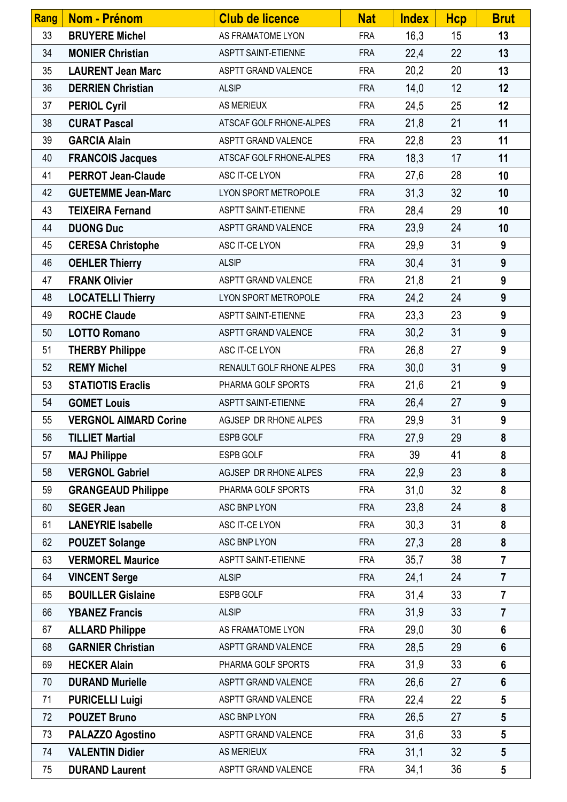| Rang | <b>Nom - Prénom</b>          | <b>Club de licence</b>     | <b>Nat</b> | <b>Index</b> | <b>Hcp</b> | <b>Brut</b>      |
|------|------------------------------|----------------------------|------------|--------------|------------|------------------|
| 33   | <b>BRUYERE Michel</b>        | AS FRAMATOME LYON          | <b>FRA</b> | 16,3         | 15         | 13               |
| 34   | <b>MONIER Christian</b>      | ASPTT SAINT-ETIENNE        | <b>FRA</b> | 22,4         | 22         | 13               |
| 35   | <b>LAURENT Jean Marc</b>     | ASPTT GRAND VALENCE        | <b>FRA</b> | 20,2         | 20         | 13               |
| 36   | <b>DERRIEN Christian</b>     | <b>ALSIP</b>               | <b>FRA</b> | 14,0         | 12         | 12               |
| 37   | <b>PERIOL Cyril</b>          | <b>AS MERIEUX</b>          | <b>FRA</b> | 24,5         | 25         | 12               |
| 38   | <b>CURAT Pascal</b>          | ATSCAF GOLF RHONE-ALPES    | <b>FRA</b> | 21,8         | 21         | 11               |
| 39   | <b>GARCIA Alain</b>          | ASPTT GRAND VALENCE        | <b>FRA</b> | 22,8         | 23         | 11               |
| 40   | <b>FRANCOIS Jacques</b>      | ATSCAF GOLF RHONE-ALPES    | <b>FRA</b> | 18,3         | 17         | 11               |
| 41   | <b>PERROT Jean-Claude</b>    | ASC IT-CE LYON             | <b>FRA</b> | 27,6         | 28         | 10               |
| 42   | <b>GUETEMME Jean-Marc</b>    | LYON SPORT METROPOLE       | <b>FRA</b> | 31,3         | 32         | 10               |
| 43   | <b>TEIXEIRA Fernand</b>      | ASPTT SAINT-ETIENNE        | <b>FRA</b> | 28,4         | 29         | 10               |
| 44   | <b>DUONG Duc</b>             | ASPTT GRAND VALENCE        | <b>FRA</b> | 23,9         | 24         | 10               |
| 45   | <b>CERESA Christophe</b>     | ASC IT-CE LYON             | <b>FRA</b> | 29,9         | 31         | 9                |
| 46   | <b>OEHLER Thierry</b>        | <b>ALSIP</b>               | <b>FRA</b> | 30,4         | 31         | 9                |
| 47   | <b>FRANK Olivier</b>         | ASPTT GRAND VALENCE        | <b>FRA</b> | 21,8         | 21         | 9                |
| 48   | <b>LOCATELLI Thierry</b>     | LYON SPORT METROPOLE       | <b>FRA</b> | 24,2         | 24         | 9                |
| 49   | <b>ROCHE Claude</b>          | ASPTT SAINT-ETIENNE        | <b>FRA</b> | 23,3         | 23         | 9                |
| 50   | <b>LOTTO Romano</b>          | ASPTT GRAND VALENCE        | <b>FRA</b> | 30,2         | 31         | 9                |
| 51   | <b>THERBY Philippe</b>       | ASC IT-CE LYON             | <b>FRA</b> | 26,8         | 27         | 9                |
| 52   | <b>REMY Michel</b>           | RENAULT GOLF RHONE ALPES   | <b>FRA</b> | 30,0         | 31         | 9                |
| 53   | <b>STATIOTIS Eraclis</b>     | PHARMA GOLF SPORTS         | <b>FRA</b> | 21,6         | 21         | 9                |
| 54   | <b>GOMET Louis</b>           | <b>ASPTT SAINT-ETIENNE</b> | <b>FRA</b> | 26,4         | 27         | 9                |
| 55   | <b>VERGNOL AIMARD Corine</b> | AGJSEP DR RHONE ALPES      | <b>FRA</b> | 29,9         | 31         | $\boldsymbol{9}$ |
| 56   | <b>TILLIET Martial</b>       | ESPB GOLF                  | <b>FRA</b> | 27,9         | 29         | 8                |
| 57   | <b>MAJ Philippe</b>          | ESPB GOLF                  | <b>FRA</b> | 39           | 41         | 8                |
| 58   | <b>VERGNOL Gabriel</b>       | AGJSEP DR RHONE ALPES      | <b>FRA</b> | 22,9         | 23         | 8                |
| 59   | <b>GRANGEAUD Philippe</b>    | PHARMA GOLF SPORTS         | <b>FRA</b> | 31,0         | 32         | 8                |
| 60   | <b>SEGER Jean</b>            | ASC BNP LYON               | <b>FRA</b> | 23,8         | 24         | 8                |
| 61   | <b>LANEYRIE Isabelle</b>     | ASC IT-CE LYON             | <b>FRA</b> | 30,3         | 31         | 8                |
| 62   | <b>POUZET Solange</b>        | ASC BNP LYON               | <b>FRA</b> | 27,3         | 28         | 8                |
| 63   | <b>VERMOREL Maurice</b>      | <b>ASPTT SAINT-ETIENNE</b> | <b>FRA</b> | 35,7         | 38         | $\overline{7}$   |
| 64   | <b>VINCENT Serge</b>         | <b>ALSIP</b>               | <b>FRA</b> | 24,1         | 24         | $\overline{7}$   |
| 65   | <b>BOUILLER Gislaine</b>     | ESPB GOLF                  | <b>FRA</b> | 31,4         | 33         | $\overline{7}$   |
| 66   | <b>YBANEZ Francis</b>        | <b>ALSIP</b>               | <b>FRA</b> | 31,9         | 33         | $\overline{7}$   |
| 67   | <b>ALLARD Philippe</b>       | AS FRAMATOME LYON          | <b>FRA</b> | 29,0         | 30         | $6\phantom{1}$   |
| 68   | <b>GARNIER Christian</b>     | ASPTT GRAND VALENCE        | <b>FRA</b> | 28,5         | 29         | $6\phantom{1}$   |
| 69   | <b>HECKER Alain</b>          | PHARMA GOLF SPORTS         | <b>FRA</b> | 31,9         | 33         | $6\phantom{1}$   |
| 70   | <b>DURAND Murielle</b>       | ASPTT GRAND VALENCE        | <b>FRA</b> | 26,6         | 27         | $6\phantom{1}$   |
| 71   | <b>PURICELLI Luigi</b>       | ASPTT GRAND VALENCE        | <b>FRA</b> | 22,4         | 22         | $5\phantom{.0}$  |
| 72   | <b>POUZET Bruno</b>          | ASC BNP LYON               | <b>FRA</b> | 26,5         | 27         | $5\phantom{.0}$  |
| 73   | <b>PALAZZO Agostino</b>      | ASPTT GRAND VALENCE        | <b>FRA</b> | 31,6         | 33         | $5\phantom{.0}$  |
| 74   | <b>VALENTIN Didier</b>       | <b>AS MERIEUX</b>          | <b>FRA</b> | 31,1         | 32         | $5\phantom{.0}$  |
| 75   | <b>DURAND Laurent</b>        | ASPTT GRAND VALENCE        | <b>FRA</b> | 34,1         | 36         | $5\phantom{.0}$  |